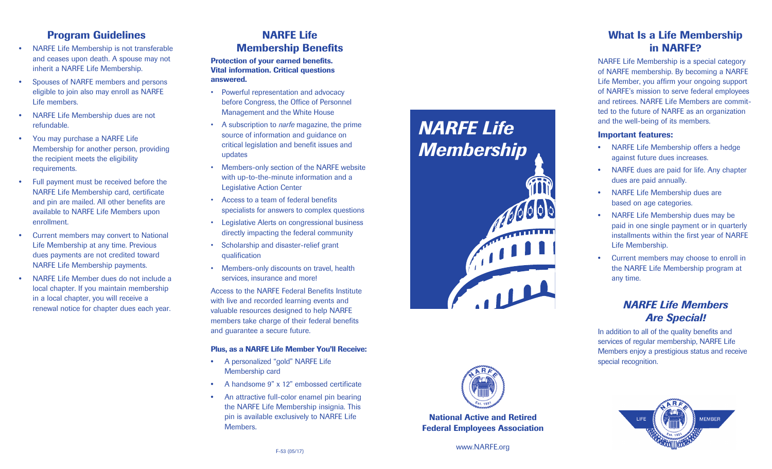## Program Guidelines

- NARFE Life Membership is not transferable and ceases upon death. A spouse may not inherit a NARFE Life Membership.
- Spouses of NARFE members and persons eligible to join also may enroll as NARFE Life members.
- NARFE Life Membership dues are not refundable.
- You may purchase a NARFE Life Membership for another person, providing the recipient meets the eligibility requirements.
- Full payment must be received before the NARFE Life Membership card, certificate and pin are mailed. All other benefits are available to NARFE Life Members upon enrollment.
- Current members may convert to National Life Membership at any time. Previous dues payments are not credited toward NARFE Life Membership payments.
- NARFE Life Member dues do not include a local chapter. If you maintain membership in a local chapter, you will receive a renewal notice for chapter dues each year.

## NARFE Life Membership Benefits

#### Protection of your earned benefits. Vital information. Critical questions answered.

- Powerful representation and advocacy before Congress, the Office of Personnel Management and the White House
- A subscription to *narfe* magazine, the prime source of information and guidance on critical legislation and benefit issues and updates
- Members-only section of the NARFE website with up-to-the-minute information and a Legislative Action Center
- Access to a team of federal benefits specialists for answers to complex questions
- Legislative Alerts on congressional business directly impacting the federal community
- Scholarship and disaster-relief grant qualification
- Members-only discounts on travel, health services, insurance and more!

Access to the NARFE Federal Benefits Institute with live and recorded learning events and valuable resources designed to help NARFE members take charge of their federal benefits and guarantee a secure future.

#### Plus, as a NARFE Life Member You'll Receive:

- A personalized "gold" NARFE Life Membership card
- A handsome 9" x 12" embossed certificate
- An attractive full-color enamel pin bearing the NARFE Life Membership insignia. This pin is available exclusively to NARFE Life Members .

# *NARFE Life Membership*





National Active and Retired Federal Employees Association

# What Is a Life Membership in NARFE?

NARFE Life Membership is a special category of NARFE membership. By becoming a NARFE Life Member, you affirm your ongoing support of NARFE's mission to serve federal employees and retirees. NARFE Life Members are commit ted to the future of NARFE as an organization and the well-being of its members.

#### Important features:

- NARFE Life Membership offers a hedge against future dues increases.
- NARFE dues are paid for life. Any chapter dues are paid annually.
- NARFE Life Membership dues are based on age categories.
- NARFE Life Membership dues may be paid in one single payment or in quarterly installments within the first year of NARFE Life Membership.
- Current members may choose to enroll in the NARFE Life Membership program at any time.

# *NARFE Life Members Are Special!*

In addition to all of the quality benefits and services of regular membership, NARFE Life Members enjoy a prestigious status and receive special recognition.